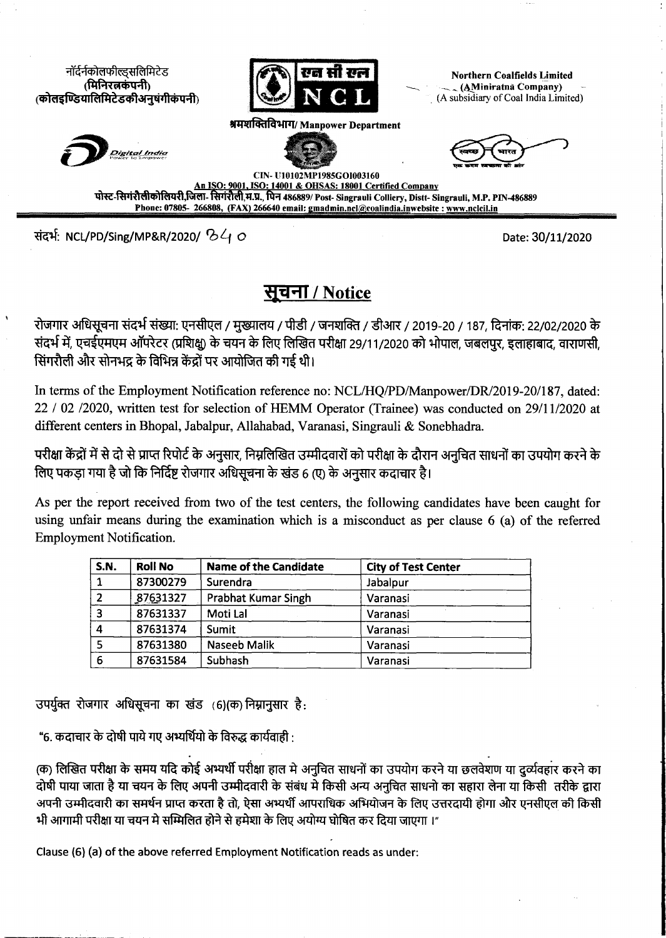नॉर्दर्नकोलफील्डसलिमिटेड (मिनिरलकंपनी) (कोलइण्डियालिमिटेडकीअनुषंगीकंपनी)



«IH\*(lEflR\*tPT/ **Manpower Department**

**Northern Coalfields lim ited (4M iniratna Company)** (A subsidiary of Coal India Limited)





**^tjas MW f wm t\*»t** *wirr*

**CIN- U10102MP1985GOI003160 ISO: 14001 & OHSAS: 18001 Certified Company** पोस्ट-सिगंरौलीकोलियरी,जिला- सिगंरौली,म.प्र., पिन 486889/ Post- Singrauli Colliery, Distt- Singrauli, M.P. PIN-486889 Phone: 07805- 266808, (FAX) 266640 email: gmadmin.ncl@coalindia.inwebsite : www.nclcil.in

NCL/PD/Sing/MP&R/2020/ *Q>^f O* Date: 30/11/2020

## 3131 **/ Notice**

रोजगार अधिसूचना संदर्भ संख्या: एनसीएल / मुख्यालय / पीडी / जनशक्ति / डीआर / 2019-20 / 187, दिनांक: 22/02/2020 के संदर्भ में, एचईएमएम ऑपरेटर (प्रशिक्ष) के चयन के लिए लिखित परीक्षा 29/11/2020 को भोपाल, जबलपर, इलाहाबाद, वाराणसी, सिंगरौली और सोनभद्र के विभिन्न केंद्रों पर आयोजित की गई थी।

In terms of the Employment Notification reference no: NCL/HQ/PD/Manpower/DR/2019-20/187, dated: 22 / 02 /2020, written test for selection of HEMM Operator (Trainee) was conducted on 29/11/2020 at **different centers in Bhopal, Jabalpur, Allahabad, Varanasi, Singrauli & Sonebhadra.**

परीक्षा केंद्रों में से दो से प्राप्त रिपोर्ट के अनुसार, निम्नलिखित उम्मीदवारों को परीक्षा के दौरान अनुचित साधनों का उपयोग करने के लिए पकड़ा गया है जो कि निर्दिष्ट रोजगार अधिसचना के खंड 6 (ए) के अनसार कदाचार है।

As per the report received from two of the test centers, the following candidates have been caught for using unfair means during the examination which is a misconduct as per clause 6 (a) of the referred **Employment Notification.**

| <b>S.N.</b>             | <b>Roll No</b> | <b>Name of the Candidate</b> | <b>City of Test Center</b> |
|-------------------------|----------------|------------------------------|----------------------------|
|                         | 87300279       | Surendra                     | Jabalpur                   |
|                         | 87631327       | Prabhat Kumar Singh          | Varanasi                   |
| $\overline{\mathbf{3}}$ | 87631337       | Moti Lal                     | Varanasi                   |
|                         | 87631374       | Sumit                        | Varanasi                   |
|                         | 87631380       | Naseeb Malik                 | Varanasi                   |
| 6                       | 87631584       | Subhash                      | Varanasi                   |

उपर्युक्त रोजगार अधिसूचना का खंड (6) (क) निम्नानुसार है:

"6. कदाचार के दोषी पाये गए अभ्यर्थियो के विरुद्ध कार्यवाही :

(क) लिखित परीक्षा के समय यदि कोई अभ्यर्थी परीक्षा हाल मे अनुचित साधनों का उपयोग करने या छलवेशण या दर्व्यवहार करने का दोषी पाया जाता है या चयन के लिए अपनी उम्मीदवारी के संबंध मे किसी अन्य अनुचित साधनो का सहारा लेना या किसी तरीके द्वारा अपनी उम्मीदवारी का समर्थन प्राप्त करता है तो, ऐसा अभ्यर्थी आपराधिक अभियोजन के लिए उत्तरदायी होगा और एनसीएल की किसी भी आगामी परीक्षा या चयन मे सम्मिलित होने से हमेशा के लिए अयोग्य घोषित कर दिया जाएगा ।"

Clause (6) (a) of the above referred Employment Notification reads as under: